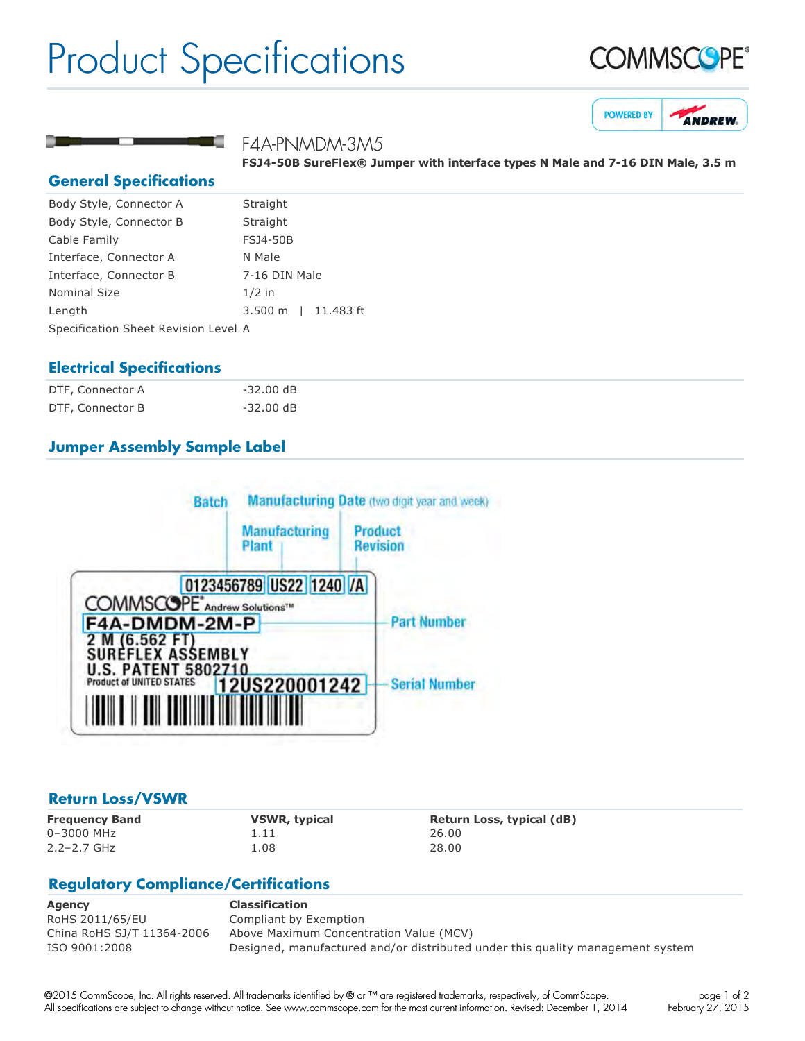# Product Specifications







#### F4A-PNMDM-3M5

**FSJ450B SureFlex® Jumper with interface types N Male and 716 DIN Male, 3.5 m**

#### **General Specifications**

| Body Style, Connector A              | Straight            |
|--------------------------------------|---------------------|
| Body Style, Connector B              | Straight            |
| Cable Family                         | <b>FSJ4-50B</b>     |
| Interface, Connector A               | N Male              |
| Interface, Connector B               | 7-16 DIN Male       |
| <b>Nominal Size</b>                  | $1/2$ in            |
| Length                               | 3.500 m   11.483 ft |
| Specification Sheet Revision Level A |                     |

#### **Electrical Specifications**

| DTF, Connector A | $-32.00$ dB |  |
|------------------|-------------|--|
| DTF, Connector B | $-32.00$ dB |  |

# **Jumper Assembly Sample Label**



#### **Return Loss/VSWR**

0–3000 MHz 1.11 26.00 2.2–2.7 GHz 1.08 28.00

**Frequency Band VSWR, typical Return Loss, typical (dB)**

# **Regulatory Compliance/Certifications**

| Agency                     | <b>Classification</b>                                                          |
|----------------------------|--------------------------------------------------------------------------------|
| RoHS 2011/65/EU            | Compliant by Exemption                                                         |
| China RoHS SJ/T 11364-2006 | Above Maximum Concentration Value (MCV)                                        |
| ISO 9001:2008              | Designed, manufactured and/or distributed under this quality management system |